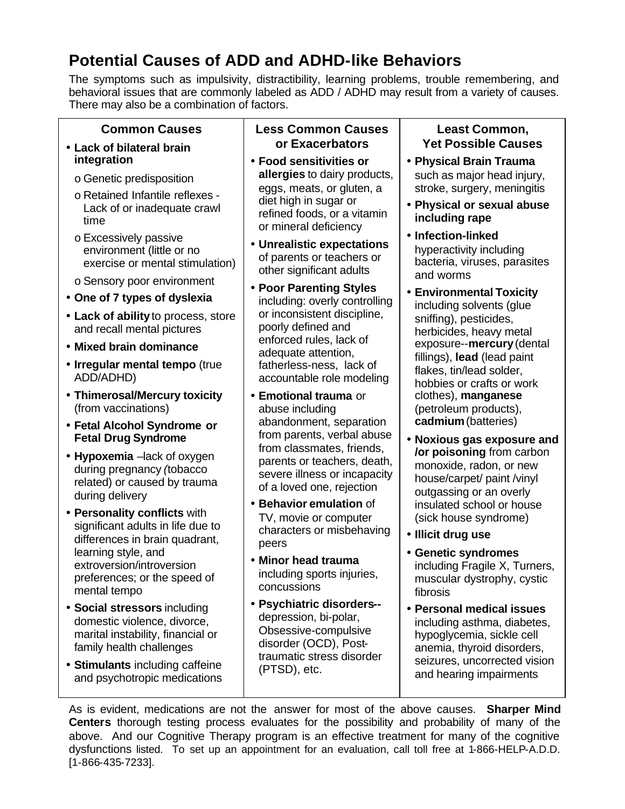## **Potential Causes of ADD and ADHD-like Behaviors**

The symptoms such as impulsivity, distractibility, learning problems, trouble remembering, and behavioral issues that are commonly labeled as ADD / ADHD may result from a variety of causes. There may also be a combination of factors.

### **Common Causes**

#### • **Lack of bilateral brain integration**

- o Genetic predisposition
- o Retained Infantile reflexes Lack of or inadequate crawl time
- o Excessively passive environment (little or no exercise or mental stimulation)
- o Sensory poor environment
- **One of 7 types of dyslexia**
- **Lack of ability** to process, store and recall mental pictures
- **Mixed brain dominance**
- **Irregular mental tempo** (true ADD/ADHD)
- **Thimerosal/Mercury toxicity**  (from vaccinations)
- **Fetal Alcohol Syndrome or Fetal Drug Syndrome**
- **Hypoxemia** –lack of oxygen during pregnancy *(*tobacco related) or caused by trauma during delivery
- **Personality conflicts** with significant adults in life due to differences in brain quadrant, learning style, and extroversion/introversion preferences; or the speed of mental tempo
- **Social stressors** including domestic violence, divorce, marital instability, financial or family health challenges
- **Stimulants** including caffeine and psychotropic medications

### **Less Common Causes or Exacerbators**

- **Food sensitivities or allergies** to dairy products, eggs, meats, or gluten, a diet high in sugar or refined foods, or a vitamin or mineral deficiency
- **Unrealistic expectations** of parents or teachers or other significant adults
- **Poor Parenting Styles** including: overly controlling or inconsistent discipline, poorly defined and enforced rules, lack of adequate attention, fatherless-ness, lack of accountable role modeling
- **Emotional trauma** or abuse including abandonment, separation from parents, verbal abuse from classmates, friends, parents or teachers, death, severe illness or incapacity of a loved one, rejection
- **Behavior emulation** of TV, movie or computer characters or misbehaving peers
- **Minor head trauma**  including sports injuries, concussions
- **Psychiatric disorders-** depression, bi-polar, Obsessive-compulsive disorder (OCD), Posttraumatic stress disorder (PTSD), etc.

#### **Least Common, Yet Possible Causes**

- **Physical Brain Trauma** such as major head injury. stroke, surgery, meningitis
- **Physical or sexual abuse including rape**
- **Infection-linked**  hyperactivity including bacteria, viruses, parasites and worms
- **Environmental Toxicity**  including solvents (glue sniffing), pesticides, herbicides, heavy metal exposure--**mercury** (dental fillings), **lead** (lead paint flakes, tin/lead solder, hobbies or crafts or work clothes), **manganese** (petroleum products), **cadmium** (batteries)
- **Noxious gas exposure and /or poisoning** from carbon monoxide, radon, or new house/carpet/ paint /vinyl outgassing or an overly insulated school or house (sick house syndrome)
- **Illicit drug use**
- **Genetic syndromes**  including Fragile X, Turners, muscular dystrophy, cystic fibrosis
- **Personal medical issues**  including asthma, diabetes, hypoglycemia, sickle cell anemia, thyroid disorders, seizures, uncorrected vision and hearing impairments

As is evident, medications are not the answer for most of the above causes. **Sharper Mind Centers** thorough testing process evaluates for the possibility and probability of many of the above. And our Cognitive Therapy program is an effective treatment for many of the cognitive dysfunctions listed. To set up an appointment for an evaluation, call toll free at 1-866-HELP-A.D.D. [1-866-435-7233].